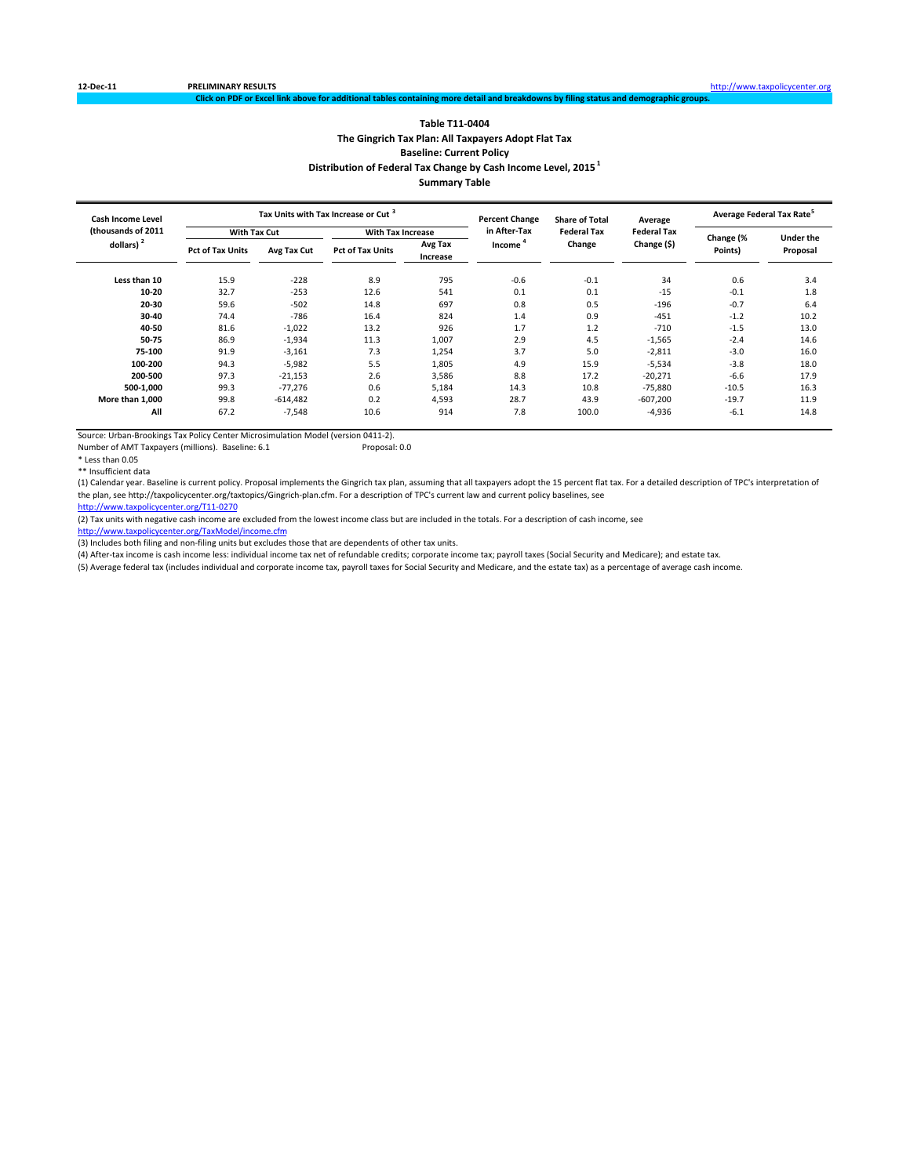### **Table T11‐0404 The Gingrich Tax Plan: All Taxpayers Adopt Flat Tax Baseline: Current Policy Distribution of Federal Tax Change by Cash Income Level, 2015 <sup>1</sup> Summary Table**

ng more detail and breakdowns by fi

**Less than 10** 15.9 ‐228 8.9 795 ‐0.6 ‐0.1 34 0.6 3.4 **10‐20** 32.7 ‐253 12.6 541 0.1 0.1 ‐15 ‐0.1 1.8 **20‐30** 59.6 ‐502 14.8 697 0.8 0.5 ‐196 ‐0.7 6.4 **30‐40** 74.4 ‐786 16.4 824 1.4 0.9 ‐451 ‐1.2 10.2 **40‐50** 81.6 ‐1,022 13.2 926 1.7 1.2 ‐710 ‐1.5 13.0 **50‐75** 86.9 ‐1,934 11.3 1,007 2.9 4.5 ‐1,565 ‐2.4 14.6 **75‐100** 91.9 ‐3,161 7.3 1,254 3.7 5.0 ‐2,811 ‐3.0 16.0 **100‐200** 94.3 ‐5,982 5.5 1,805 4.9 15.9 ‐5,534 ‐3.8 18.0 **200‐500** 97.3 ‐21,153 2.6 3,586 8.8 17.2 ‐20,271 ‐6.6 17.9 **500‐1,000** 99.3 ‐77,276 0.6 5,184 14.3 10.8 ‐75,880 ‐10.5 16.3 **More than 1,000** 99.8 ‐614,482 0.2 4,593 28.7 43.9 ‐607,200 ‐19.7 11.9 **All** 67.2 -7,548 10.6 914 7.8 100.0 -4,936 -6.1 14.8 **With Tax Increase 10 Lines Control Tax Are Federal Tax Change (%) Changee (%) 30 Lines (2011) Changee (%) 2012<br>Absorption the state of the change of the change (%) Change (%) 2012 Lines (%) 2013 Points) Under the** extragallic and **Proposal Conduct Avgram Change** Change Change (\$) with Proposal Proposal and **Proposal Proposal Proposal Increase Cash Income Level (thousands of 2011 dollars) <sup>2</sup> Tax Units with Tax Increase or Cut <sup>3</sup> Percent Change in After‐Tax Income <sup>4</sup> Share of Total Federal Tax Change Average Federal Tax Change (\$) Average Federal Tax Rate<sup>5</sup> With Tax Cut**

Source: Urban‐Brookings Tax Policy Center Microsimulation Model (version 0411‐2).

Number of AMT Taxpayers (millions). Baseline: 6.1 Proposal: 0.0

\* Less than 0.05

\*\* Insufficient data

(1) Calendar year. Baseline is current policy. Proposal implements the Gingrich tax plan, assuming that all taxpayers adopt the 15 percent flat tax. For a detailed description of TPC's interpretation of the plan, see http://taxpolicycenter.org/taxtopics/Gingrich‐plan.cfm. For a description of TPC's current law and current policy baselines, see

http://www.taxpolicycenter.org/T11‐0270

(2) Tax units with negative cash income are excluded from the lowest income class but are included in the totals. For a description of cash income, see

http://www.taxpolicycenter.org/TaxModel/income.cfr

(3) Includes both filing and non-filing units but excludes those that are dependents of other tax units.

(4) After‐tax income is cash income less: individual income tax net of refundable credits; corporate income tax; payroll taxes (Social Security and Medicare); and estate tax.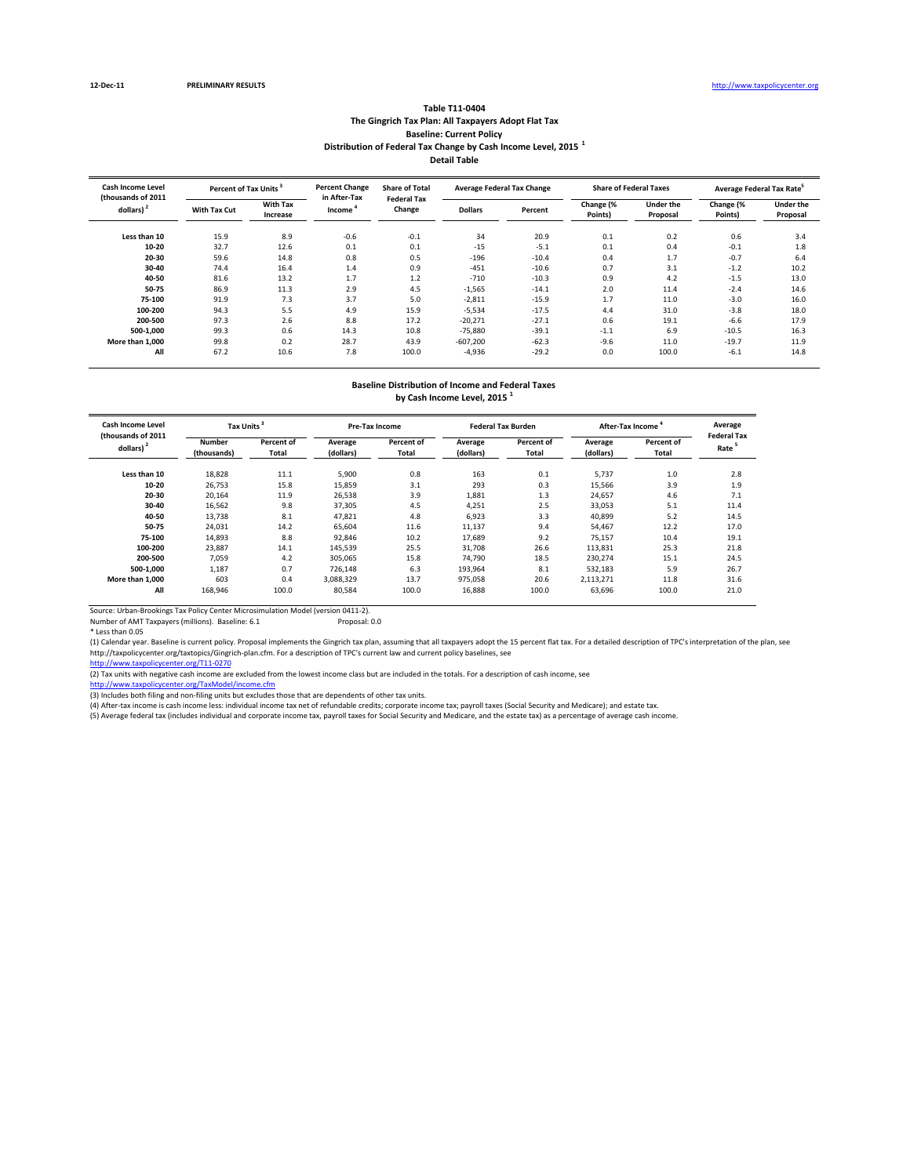#### **Table T11‐0404 The Gingrich Tax Plan: All Taxpayers Adopt Flat Tax Baseline: Current Policy Distribution of Federal Tax Change by Cash Income Level, 2015 <sup>1</sup> Detail Table**

| <b>Cash Income Level</b><br>(thousands of 2011 | Percent of Tax Units <sup>3</sup> |                             | <b>Percent Change</b><br>in After-Tax | <b>Share of Total</b><br><b>Federal Tax</b> |                | <b>Average Federal Tax Change</b> |                      | <b>Share of Federal Taxes</b> | Average Federal Tax Rate <sup>5</sup> |                              |
|------------------------------------------------|-----------------------------------|-----------------------------|---------------------------------------|---------------------------------------------|----------------|-----------------------------------|----------------------|-------------------------------|---------------------------------------|------------------------------|
| dollars) <sup>2</sup>                          | With Tax Cut                      | <b>With Tax</b><br>Increase | Income                                | Change                                      | <b>Dollars</b> | Percent                           | Change (%<br>Points) | <b>Under the</b><br>Proposal  | Change (%<br>Points)                  | <b>Under the</b><br>Proposal |
| Less than 10                                   | 15.9                              | 8.9                         | $-0.6$                                | $-0.1$                                      | 34             | 20.9                              | 0.1                  | 0.2                           | 0.6                                   | 3.4                          |
| $10 - 20$                                      | 32.7                              | 12.6                        | 0.1                                   | 0.1                                         | $-15$          | $-5.1$                            | 0.1                  | 0.4                           | $-0.1$                                | 1.8                          |
| 20-30                                          | 59.6                              | 14.8                        | 0.8                                   | 0.5                                         | $-196$         | $-10.4$                           | 0.4                  | 1.7                           | $-0.7$                                | 6.4                          |
| 30-40                                          | 74.4                              | 16.4                        | 1.4                                   | 0.9                                         | $-451$         | $-10.6$                           | 0.7                  | 3.1                           | $-1.2$                                | 10.2                         |
| 40-50                                          | 81.6                              | 13.2                        | 1.7                                   | 1.2                                         | $-710$         | $-10.3$                           | 0.9                  | 4.2                           | $-1.5$                                | 13.0                         |
| 50-75                                          | 86.9                              | 11.3                        | 2.9                                   | 4.5                                         | $-1,565$       | $-14.1$                           | 2.0                  | 11.4                          | $-2.4$                                | 14.6                         |
| 75-100                                         | 91.9                              | 7.3                         | 3.7                                   | 5.0                                         | $-2,811$       | $-15.9$                           | 1.7                  | 11.0                          | $-3.0$                                | 16.0                         |
| 100-200                                        | 94.3                              | 5.5                         | 4.9                                   | 15.9                                        | $-5,534$       | $-17.5$                           | 4.4                  | 31.0                          | $-3.8$                                | 18.0                         |
| 200-500                                        | 97.3                              | 2.6                         | 8.8                                   | 17.2                                        | $-20,271$      | $-27.1$                           | 0.6                  | 19.1                          | $-6.6$                                | 17.9                         |
| 500-1.000                                      | 99.3                              | 0.6                         | 14.3                                  | 10.8                                        | $-75,880$      | $-39.1$                           | $-1.1$               | 6.9                           | $-10.5$                               | 16.3                         |
| More than 1.000                                | 99.8                              | 0.2                         | 28.7                                  | 43.9                                        | $-607,200$     | $-62.3$                           | $-9.6$               | 11.0                          | $-19.7$                               | 11.9                         |
| All                                            | 67.2                              | 10.6                        | 7.8                                   | 100.0                                       | $-4,936$       | $-29.2$                           | 0.0                  | 100.0                         | $-6.1$                                | 14.8                         |

## **Baseline Distribution of Income and Federal Taxes**

**by Cash Income Level, 2015 <sup>1</sup>**

| Cash Income Level<br>(thousands of 2011 | <b>Tax Units</b>      |                     |                      | <b>Pre-Tax Income</b> |                      | <b>Federal Tax Burden</b> | After-Tax Income     | Average<br><b>Federal Tax</b> |      |
|-----------------------------------------|-----------------------|---------------------|----------------------|-----------------------|----------------------|---------------------------|----------------------|-------------------------------|------|
| dollars) <sup>2</sup>                   | Number<br>(thousands) | Percent of<br>Total | Average<br>(dollars) | Percent of<br>Total   | Average<br>(dollars) | Percent of<br>Total       | Average<br>(dollars) | Percent of<br>Total           | Rate |
| Less than 10                            | 18,828                | 11.1                | 5,900                | 0.8                   | 163                  | 0.1                       | 5,737                | 1.0                           | 2.8  |
| $10 - 20$                               | 26,753                | 15.8                | 15,859               | 3.1                   | 293                  | 0.3                       | 15,566               | 3.9                           | 1.9  |
| 20-30                                   | 20,164                | 11.9                | 26,538               | 3.9                   | 1,881                | 1.3                       | 24.657               | 4.6                           | 7.1  |
| 30-40                                   | 16,562                | 9.8                 | 37.305               | 4.5                   | 4.251                | 2.5                       | 33.053               | 5.1                           | 11.4 |
| 40-50                                   | 13.738                | 8.1                 | 47.821               | 4.8                   | 6.923                | 3.3                       | 40.899               | 5.2                           | 14.5 |
| 50-75                                   | 24,031                | 14.2                | 65,604               | 11.6                  | 11,137               | 9.4                       | 54.467               | 12.2                          | 17.0 |
| 75-100                                  | 14,893                | 8.8                 | 92,846               | 10.2                  | 17,689               | 9.2                       | 75,157               | 10.4                          | 19.1 |
| 100-200                                 | 23,887                | 14.1                | 145,539              | 25.5                  | 31,708               | 26.6                      | 113,831              | 25.3                          | 21.8 |
| 200-500                                 | 7,059                 | 4.2                 | 305,065              | 15.8                  | 74,790               | 18.5                      | 230,274              | 15.1                          | 24.5 |
| 500-1.000                               | 1,187                 | 0.7                 | 726,148              | 6.3                   | 193,964              | 8.1                       | 532,183              | 5.9                           | 26.7 |
| More than 1.000                         | 603                   | 0.4                 | 3,088,329            | 13.7                  | 975,058              | 20.6                      | 2,113,271            | 11.8                          | 31.6 |
| All                                     | 168,946               | 100.0               | 80,584               | 100.0                 | 16,888               | 100.0                     | 63,696               | 100.0                         | 21.0 |

Source: Urban‐Brookings Tax Policy Center Microsimulation Model (version 0411‐2). Number of AMT Taxpayers (millions). Baseline: 6.1 Proposal: 0.0

\* Less than 0.05

(1) Calendar year. Baseline is current policy. Proposal implements the Gingrich tax plan, assuming that all taxpayers adopt the 15 percent flat tax. For a detailed description of TPC's interpretation of the plan, see http://taxpolicycenter.org/taxtopics/Gingrich-plan.cfm. For a description of TPC's current law and current policy baselines, see<br><u>http://www.taxpolicycenter.org/T11-0270</u>

(2) Tax units with negative cash income are excluded from the lowest income class but are included in the totals. For a description of cash income, see

<u>http://www.taxpolicycenter.org/TaxModel/income.cfm</u><br>(3) Includes both filing and non-filing units but excludes those that are dependents of other tax units.

(4) After-tax income is cash income less: individual income tax net of refundable credits; corporate income tax; payroll taxes (Social Security and Medicare); and estate tax.<br>(5) Average federal tax (includes individual an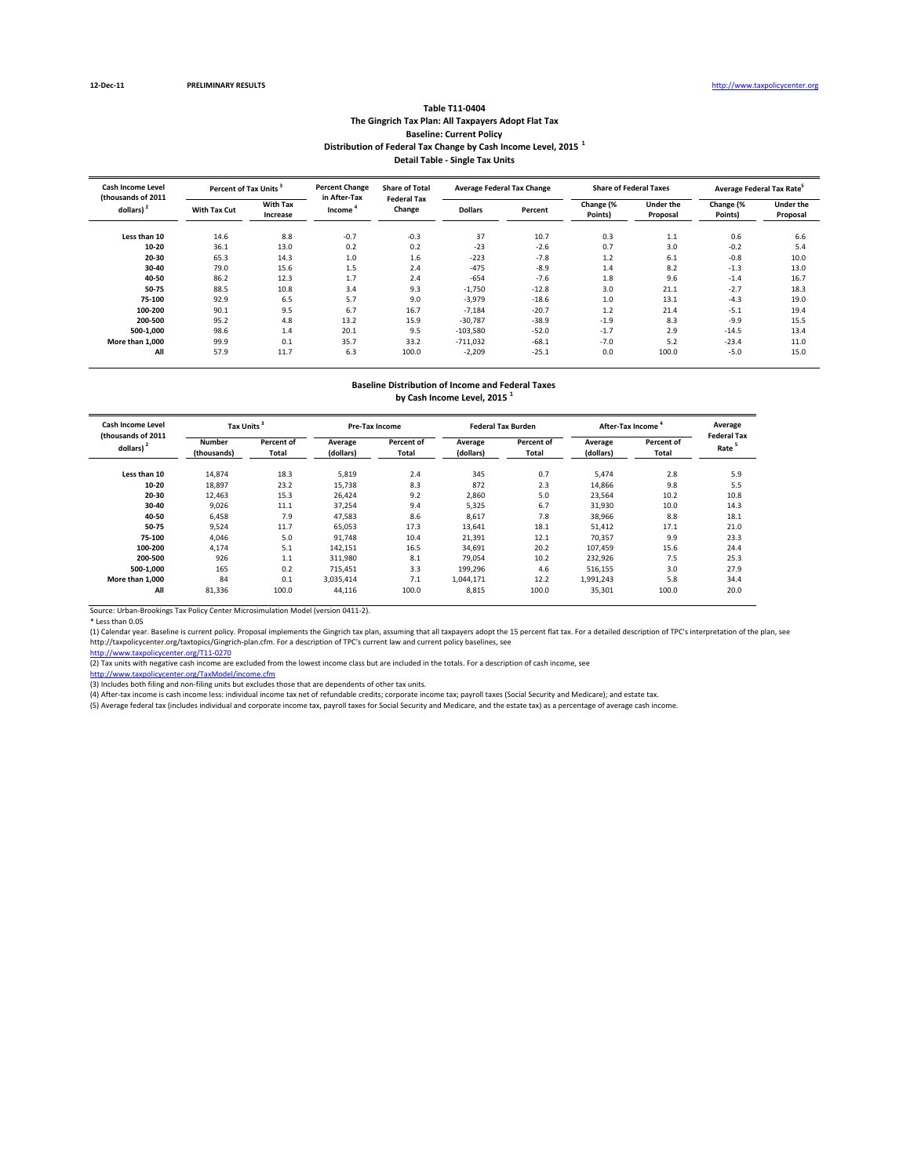#### **Table T11‐0404 The Gingrich Tax Plan: All Taxpayers Adopt Flat Tax Baseline: Current Policy Distribution of Federal Tax Change by Cash Income Level, 2015 <sup>1</sup> Detail Table ‐ Single Tax Units**

| <b>Cash Income Level</b><br>(thousands of 2011) | Percent of Tax Units <sup>3</sup> |                      | <b>Percent Change</b><br>in After-Tax | <b>Share of Total</b><br><b>Federal Tax</b> |                | <b>Average Federal Tax Change</b> |                      | <b>Share of Federal Taxes</b> | Average Federal Tax Rate <sup>5</sup> |                              |  |
|-------------------------------------------------|-----------------------------------|----------------------|---------------------------------------|---------------------------------------------|----------------|-----------------------------------|----------------------|-------------------------------|---------------------------------------|------------------------------|--|
| dollars) <sup>2</sup>                           | With Tax Cut                      | With Tax<br>Increase | Income <sup>'</sup>                   | Change                                      | <b>Dollars</b> | Percent                           | Change (%<br>Points) | <b>Under the</b><br>Proposal  | Change (%<br>Points)                  | <b>Under the</b><br>Proposal |  |
| Less than 10                                    | 14.6                              | 8.8                  | $-0.7$                                | $-0.3$                                      | 37             | 10.7                              | 0.3                  | 1.1                           | 0.6                                   | 6.6                          |  |
| 10-20                                           | 36.1                              | 13.0                 | 0.2                                   | 0.2                                         | $-23$          | $-2.6$                            | 0.7                  | 3.0                           | $-0.2$                                | 5.4                          |  |
| 20-30                                           | 65.3                              | 14.3                 | 1.0                                   | 1.6                                         | $-223$         | $-7.8$                            | 1.2                  | 6.1                           | $-0.8$                                | 10.0                         |  |
| 30-40                                           | 79.0                              | 15.6                 | 1.5                                   | 2.4                                         | $-475$         | $-8.9$                            | 1.4                  | 8.2                           | $-1.3$                                | 13.0                         |  |
| 40-50                                           | 86.2                              | 12.3                 | 1.7                                   | 2.4                                         | $-654$         | $-7.6$                            | 1.8                  | 9.6                           | $-1.4$                                | 16.7                         |  |
| 50-75                                           | 88.5                              | 10.8                 | 3.4                                   | 9.3                                         | $-1,750$       | $-12.8$                           | 3.0                  | 21.1                          | $-2.7$                                | 18.3                         |  |
| 75-100                                          | 92.9                              | 6.5                  | 5.7                                   | 9.0                                         | $-3,979$       | $-18.6$                           | 1.0                  | 13.1                          | $-4.3$                                | 19.0                         |  |
| 100-200                                         | 90.1                              | 9.5                  | 6.7                                   | 16.7                                        | $-7.184$       | $-20.7$                           | 1.2                  | 21.4                          | $-5.1$                                | 19.4                         |  |
| 200-500                                         | 95.2                              | 4.8                  | 13.2                                  | 15.9                                        | $-30,787$      | $-38.9$                           | $-1.9$               | 8.3                           | $-9.9$                                | 15.5                         |  |
| 500-1,000                                       | 98.6                              | 1.4                  | 20.1                                  | 9.5                                         | $-103,580$     | $-52.0$                           | $-1.7$               | 2.9                           | $-14.5$                               | 13.4                         |  |
| More than 1.000                                 | 99.9                              | 0.1                  | 35.7                                  | 33.2                                        | $-711,032$     | $-68.1$                           | $-7.0$               | 5.2                           | $-23.4$                               | 11.0                         |  |
| All                                             | 57.9                              | 11.7                 | 6.3                                   | 100.0                                       | $-2,209$       | $-25.1$                           | 0.0                  | 100.0                         | $-5.0$                                | 15.0                         |  |

## **Baseline Distribution of Income and Federal Taxes**

**by Cash Income Level, 2015 <sup>1</sup>**

| Cash Income Level<br>(thousands of 2011 | Tax Units             |                     |                      | <b>Pre-Tax Income</b> |                      | <b>Federal Tax Burden</b> |                      | After-Tax Income    |                                         |
|-----------------------------------------|-----------------------|---------------------|----------------------|-----------------------|----------------------|---------------------------|----------------------|---------------------|-----------------------------------------|
| dollars)                                | Number<br>(thousands) | Percent of<br>Total | Average<br>(dollars) | Percent of<br>Total   | Average<br>(dollars) | Percent of<br>Total       | Average<br>(dollars) | Percent of<br>Total | <b>Federal Tax</b><br>Rate <sup>5</sup> |
| Less than 10                            | 14,874                | 18.3                | 5,819                | 2.4                   | 345                  | 0.7                       | 5,474                | 2.8                 | 5.9                                     |
| $10 - 20$                               | 18,897                | 23.2                | 15,738               | 8.3                   | 872                  | 2.3                       | 14,866               | 9.8                 | 5.5                                     |
| 20-30                                   | 12.463                | 15.3                | 26.424               | 9.2                   | 2,860                | 5.0                       | 23,564               | 10.2                | 10.8                                    |
| 30-40                                   | 9,026                 | 11.1                | 37,254               | 9.4                   | 5,325                | 6.7                       | 31,930               | 10.0                | 14.3                                    |
| 40-50                                   | 6,458                 | 7.9                 | 47,583               | 8.6                   | 8,617                | 7.8                       | 38,966               | 8.8                 | 18.1                                    |
| 50-75                                   | 9,524                 | 11.7                | 65,053               | 17.3                  | 13,641               | 18.1                      | 51,412               | 17.1                | 21.0                                    |
| 75-100                                  | 4,046                 | 5.0                 | 91,748               | 10.4                  | 21,391               | 12.1                      | 70,357               | 9.9                 | 23.3                                    |
| 100-200                                 | 4,174                 | 5.1                 | 142,151              | 16.5                  | 34,691               | 20.2                      | 107,459              | 15.6                | 24.4                                    |
| 200-500                                 | 926                   | 1.1                 | 311,980              | 8.1                   | 79,054               | 10.2                      | 232,926              | 7.5                 | 25.3                                    |
| 500-1.000                               | 165                   | 0.2                 | 715,451              | 3.3                   | 199,296              | 4.6                       | 516,155              | 3.0                 | 27.9                                    |
| More than 1.000                         | 84                    | 0.1                 | 3,035,414            | 7.1                   | 1,044,171            | 12.2                      | 1,991,243            | 5.8                 | 34.4                                    |
| All                                     | 81,336                | 100.0               | 44,116               | 100.0                 | 8,815                | 100.0                     | 35,301               | 100.0               | 20.0                                    |

Source: Urban‐Brookings Tax Policy Center Microsimulation Model (version 0411‐2).

\* Less than 0.05<br>(1) Calendar year. Baseline is current policy. Proposal implements the Gingrich tax plan, assuming that all taxpayers adopt the 15 percent flat tax. For a detailed description of TPC's interpretation of th http://taxpolicycenter.org/taxtopics/Gingrich‐plan.cfm. For a description of TPC's current law and current policy baselines, see

http://www.taxpolicycenter.org/T11‐0270<br>(2) Tax units with negative cash income are excluded from the lowest income class but are included in the totals. For a description of cash income, see

er.org/TaxModel/income.cf

(3) Includes both filing and non-filing units but excludes those that are dependents of other tax units.

(4) After‐tax income is cash income less: individual income tax net of refundable credits; corporate income tax; payroll taxes (Social Security and Medicare); and estate tax.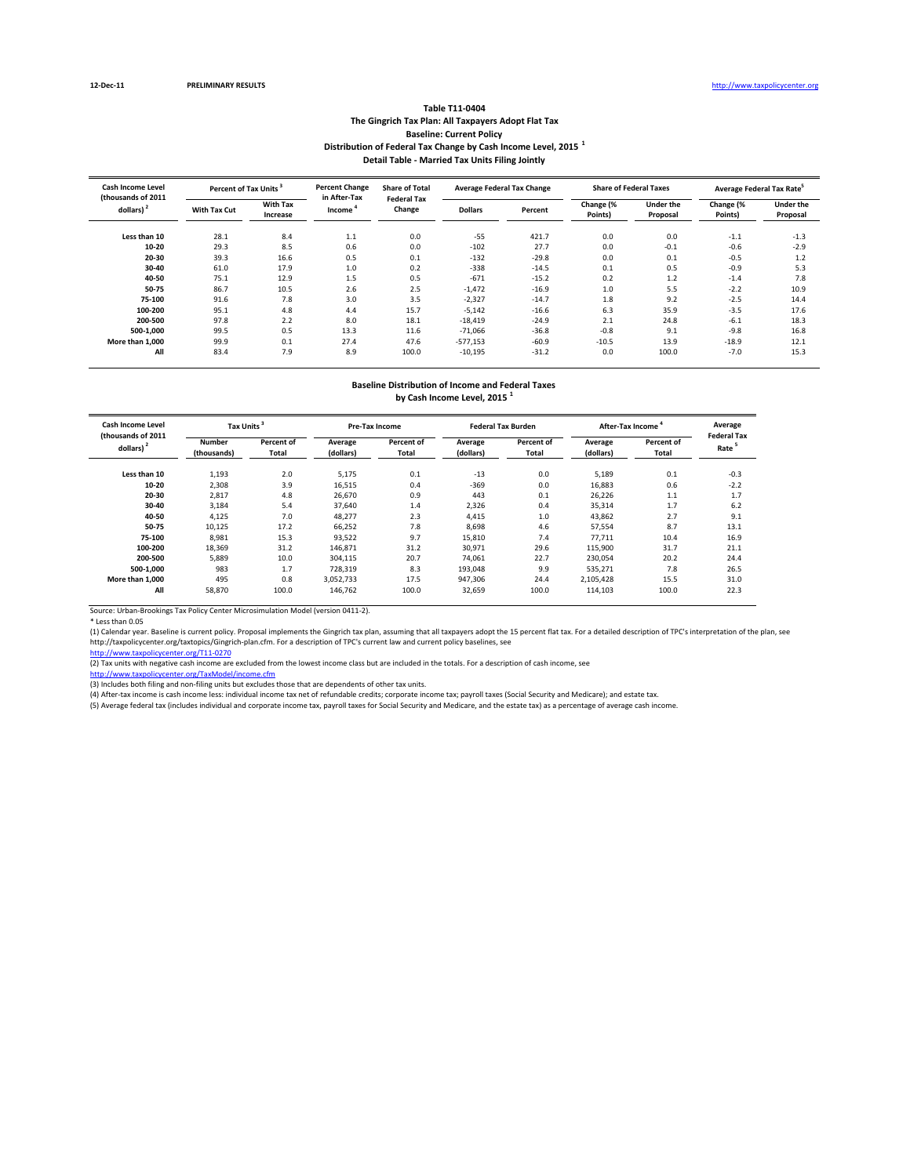#### **Table T11‐0404 The Gingrich Tax Plan: All Taxpayers Adopt Flat Tax Baseline: Current Policy Distribution of Federal Tax Change by Cash Income Level, 2015 <sup>1</sup> Detail Table ‐ Married Tax Units Filing Jointly**

| Cash Income Level<br>(thousands of 2011) | Percent of Tax Units <sup>3</sup> |                             | <b>Percent Change</b><br>in After-Tax | <b>Share of Total</b><br><b>Federal Tax</b> |                | <b>Average Federal Tax Change</b> |                      | <b>Share of Federal Taxes</b> | Average Federal Tax Rate <sup>5</sup> |                              |  |
|------------------------------------------|-----------------------------------|-----------------------------|---------------------------------------|---------------------------------------------|----------------|-----------------------------------|----------------------|-------------------------------|---------------------------------------|------------------------------|--|
| dollars) <sup>2</sup>                    | With Tax Cut                      | <b>With Tax</b><br>Increase | Income                                | Change                                      | <b>Dollars</b> | Percent                           | Change (%<br>Points) | <b>Under the</b><br>Proposal  | Change (%<br>Points)                  | <b>Under the</b><br>Proposal |  |
| Less than 10                             | 28.1                              | 8.4                         | 1.1                                   | 0.0                                         | $-55$          | 421.7                             | 0.0                  | 0.0                           | $-1.1$                                | $-1.3$                       |  |
| $10 - 20$                                | 29.3                              | 8.5                         | 0.6                                   | 0.0                                         | $-102$         | 27.7                              | 0.0                  | $-0.1$                        | $-0.6$                                | $-2.9$                       |  |
| 20-30                                    | 39.3                              | 16.6                        | 0.5                                   | 0.1                                         | $-132$         | $-29.8$                           | 0.0                  | 0.1                           | $-0.5$                                | 1.2                          |  |
| 30-40                                    | 61.0                              | 17.9                        | 1.0                                   | 0.2                                         | $-338$         | $-14.5$                           | 0.1                  | 0.5                           | $-0.9$                                | 5.3                          |  |
| 40-50                                    | 75.1                              | 12.9                        | 1.5                                   | 0.5                                         | $-671$         | $-15.2$                           | 0.2                  | 1.2                           | $-1.4$                                | 7.8                          |  |
| 50-75                                    | 86.7                              | 10.5                        | 2.6                                   | 2.5                                         | $-1,472$       | $-16.9$                           | 1.0                  | 5.5                           | $-2.2$                                | 10.9                         |  |
| 75-100                                   | 91.6                              | 7.8                         | 3.0                                   | 3.5                                         | $-2,327$       | $-14.7$                           | 1.8                  | 9.2                           | $-2.5$                                | 14.4                         |  |
| 100-200                                  | 95.1                              | 4.8                         | 4.4                                   | 15.7                                        | $-5,142$       | $-16.6$                           | 6.3                  | 35.9                          | $-3.5$                                | 17.6                         |  |
| 200-500                                  | 97.8                              | 2.2                         | 8.0                                   | 18.1                                        | $-18,419$      | $-24.9$                           | 2.1                  | 24.8                          | $-6.1$                                | 18.3                         |  |
| 500-1.000                                | 99.5                              | 0.5                         | 13.3                                  | 11.6                                        | $-71,066$      | $-36.8$                           | $-0.8$               | 9.1                           | $-9.8$                                | 16.8                         |  |
| More than 1.000                          | 99.9                              | 0.1                         | 27.4                                  | 47.6                                        | $-577,153$     | $-60.9$                           | $-10.5$              | 13.9                          | $-18.9$                               | 12.1                         |  |
| All                                      | 83.4                              | 7.9                         | 8.9                                   | 100.0                                       | $-10,195$      | $-31.2$                           | 0.0                  | 100.0                         | $-7.0$                                | 15.3                         |  |

# **Baseline Distribution of Income and Federal Taxes**

**by Cash Income Level, 2015 <sup>1</sup>**

| Cash Income Level<br>(thousands of 2011 | Tax Units             |                     |                      | <b>Pre-Tax Income</b> |                      | <b>Federal Tax Burden</b> | After-Tax Income     | Average<br><b>Federal Tax</b> |        |
|-----------------------------------------|-----------------------|---------------------|----------------------|-----------------------|----------------------|---------------------------|----------------------|-------------------------------|--------|
| dollars)                                | Number<br>(thousands) | Percent of<br>Total | Average<br>(dollars) | Percent of<br>Total   | Average<br>(dollars) | Percent of<br>Total       | Average<br>(dollars) | Percent of<br>Total           | Rate   |
| Less than 10                            | 1,193                 | 2.0                 | 5,175                | 0.1                   | $-13$                | 0.0                       | 5,189                | 0.1                           | $-0.3$ |
| $10 - 20$                               | 2,308                 | 3.9                 | 16,515               | 0.4                   | $-369$               | 0.0                       | 16,883               | 0.6                           | $-2.2$ |
| 20-30                                   | 2,817                 | 4.8                 | 26.670               | 0.9                   | 443                  | 0.1                       | 26.226               | 1.1                           | 1.7    |
| 30-40                                   | 3,184                 | 5.4                 | 37.640               | 1.4                   | 2,326                | 0.4                       | 35,314               | 1.7                           | 6.2    |
| 40-50                                   | 4,125                 | 7.0                 | 48,277               | 2.3                   | 4.415                | 1.0                       | 43,862               | 2.7                           | 9.1    |
| 50-75                                   | 10,125                | 17.2                | 66,252               | 7.8                   | 8,698                | 4.6                       | 57,554               | 8.7                           | 13.1   |
| 75-100                                  | 8,981                 | 15.3                | 93,522               | 9.7                   | 15,810               | 7.4                       | 77.711               | 10.4                          | 16.9   |
| 100-200                                 | 18,369                | 31.2                | 146,871              | 31.2                  | 30,971               | 29.6                      | 115,900              | 31.7                          | 21.1   |
| 200-500                                 | 5,889                 | 10.0                | 304,115              | 20.7                  | 74,061               | 22.7                      | 230,054              | 20.2                          | 24.4   |
| 500-1.000                               | 983                   | 1.7                 | 728,319              | 8.3                   | 193,048              | 9.9                       | 535,271              | 7.8                           | 26.5   |
| More than 1.000                         | 495                   | 0.8                 | 3,052,733            | 17.5                  | 947,306              | 24.4                      | 2,105,428            | 15.5                          | 31.0   |
| All                                     | 58,870                | 100.0               | 146,762              | 100.0                 | 32,659               | 100.0                     | 114,103              | 100.0                         | 22.3   |

Source: Urban‐Brookings Tax Policy Center Microsimulation Model (version 0411‐2).

\* Less than 0.05<br>(1) Calendar year. Baseline is current policy. Proposal implements the Gingrich tax plan, assuming that all taxpayers adopt the 15 percent flat tax. For a detailed description of TPC's interpretation of th http://taxpolicycenter.org/taxtopics/Gingrich‐plan.cfm. For a description of TPC's current law and current policy baselines, see

http://www.taxpolicycenter.org/T11‐0270<br>(2) Tax units with negative cash income are excluded from the lowest income class but are included in the totals. For a description of cash income, see

er.org/TaxModel/income.cf

(3) Includes both filing and non-filing units but excludes those that are dependents of other tax units.

(4) After‐tax income is cash income less: individual income tax net of refundable credits; corporate income tax; payroll taxes (Social Security and Medicare); and estate tax.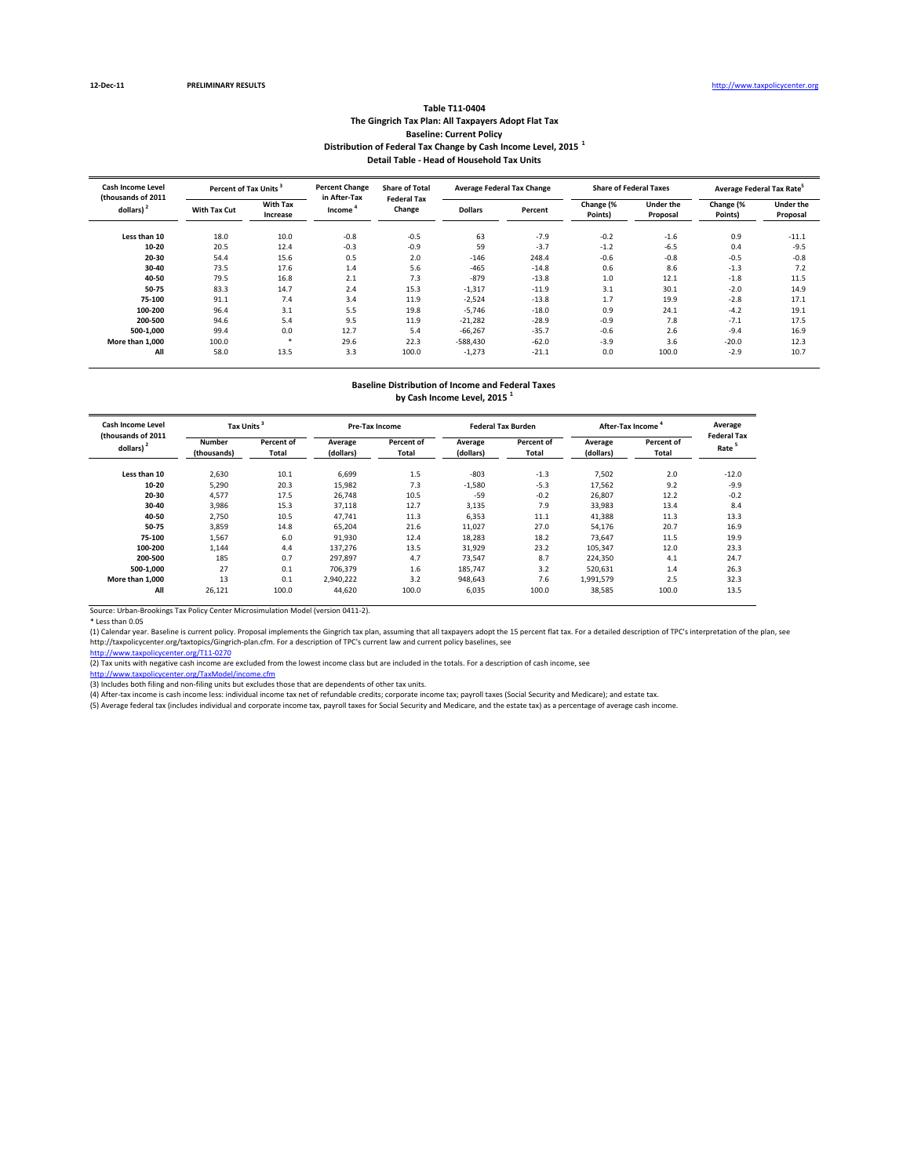#### **Table T11‐0404 The Gingrich Tax Plan: All Taxpayers Adopt Flat Tax Baseline: Current Policy Distribution of Federal Tax Change by Cash Income Level, 2015 <sup>1</sup> Detail Table ‐ Head of Household Tax Units**

| Cash Income Level<br>(thousands of 2011) | Percent of Tax Units <sup>3</sup> |                             | <b>Percent Change</b><br>in After-Tax | <b>Share of Total</b><br><b>Federal Tax</b> |                | <b>Average Federal Tax Change</b> |                      | <b>Share of Federal Taxes</b> | Average Federal Tax Rate <sup>5</sup> |                              |  |
|------------------------------------------|-----------------------------------|-----------------------------|---------------------------------------|---------------------------------------------|----------------|-----------------------------------|----------------------|-------------------------------|---------------------------------------|------------------------------|--|
| dollars) <sup>2</sup>                    | With Tax Cut                      | <b>With Tax</b><br>Increase | Income                                | Change                                      | <b>Dollars</b> | Percent                           | Change (%<br>Points) | <b>Under the</b><br>Proposal  | Change (%<br>Points)                  | <b>Under the</b><br>Proposal |  |
| Less than 10                             | 18.0                              | 10.0                        | $-0.8$                                | $-0.5$                                      | 63             | $-7.9$                            | $-0.2$               | $-1.6$                        | 0.9                                   | $-11.1$                      |  |
| $10 - 20$                                | 20.5                              | 12.4                        | $-0.3$                                | $-0.9$                                      | 59             | $-3.7$                            | $-1.2$               | $-6.5$                        | 0.4                                   | $-9.5$                       |  |
| 20-30                                    | 54.4                              | 15.6                        | 0.5                                   | 2.0                                         | $-146$         | 248.4                             | $-0.6$               | $-0.8$                        | $-0.5$                                | $-0.8$                       |  |
| 30-40                                    | 73.5                              | 17.6                        | 1.4                                   | 5.6                                         | $-465$         | $-14.8$                           | 0.6                  | 8.6                           | $-1.3$                                | 7.2                          |  |
| 40-50                                    | 79.5                              | 16.8                        | 2.1                                   | 7.3                                         | $-879$         | $-13.8$                           | 1.0                  | 12.1                          | $-1.8$                                | 11.5                         |  |
| 50-75                                    | 83.3                              | 14.7                        | 2.4                                   | 15.3                                        | $-1,317$       | $-11.9$                           | 3.1                  | 30.1                          | $-2.0$                                | 14.9                         |  |
| 75-100                                   | 91.1                              | 7.4                         | 3.4                                   | 11.9                                        | $-2,524$       | $-13.8$                           | 1.7                  | 19.9                          | $-2.8$                                | 17.1                         |  |
| 100-200                                  | 96.4                              | 3.1                         | 5.5                                   | 19.8                                        | $-5.746$       | $-18.0$                           | 0.9                  | 24.1                          | $-4.2$                                | 19.1                         |  |
| 200-500                                  | 94.6                              | 5.4                         | 9.5                                   | 11.9                                        | $-21,282$      | $-28.9$                           | $-0.9$               | 7.8                           | $-7.1$                                | 17.5                         |  |
| 500-1.000                                | 99.4                              | 0.0                         | 12.7                                  | 5.4                                         | $-66,267$      | $-35.7$                           | $-0.6$               | 2.6                           | $-9.4$                                | 16.9                         |  |
| More than 1.000                          | 100.0                             | - 24                        | 29.6                                  | 22.3                                        | $-588,430$     | $-62.0$                           | $-3.9$               | 3.6                           | $-20.0$                               | 12.3                         |  |
| All                                      | 58.0                              | 13.5                        | 3.3                                   | 100.0                                       | $-1,273$       | $-21.1$                           | 0.0                  | 100.0                         | $-2.9$                                | 10.7                         |  |

### **Baseline Distribution of Income and Federal Taxes**

**by Cash Income Level, 2015 <sup>1</sup>**

| <b>Cash Income Level</b><br>(thousands of 2011 | Tax Units             |                     |                      | <b>Pre-Tax Income</b> |                      | <b>Federal Tax Burden</b> | After-Tax Income     | Average<br><b>Federal Tax</b> |         |
|------------------------------------------------|-----------------------|---------------------|----------------------|-----------------------|----------------------|---------------------------|----------------------|-------------------------------|---------|
| dollars) <sup>2</sup>                          | Number<br>(thousands) | Percent of<br>Total | Average<br>(dollars) | Percent of<br>Total   | Average<br>(dollars) | Percent of<br>Total       | Average<br>(dollars) | Percent of<br>Total           | Rate    |
| Less than 10                                   | 2,630                 | 10.1                | 6,699                | 1.5                   | $-803$               | $-1.3$                    | 7,502                | 2.0                           | $-12.0$ |
| $10 - 20$                                      | 5,290                 | 20.3                | 15,982               | 7.3                   | $-1,580$             | $-5.3$                    | 17,562               | 9.2                           | $-9.9$  |
| 20-30                                          | 4.577                 | 17.5                | 26.748               | 10.5                  | $-59$                | $-0.2$                    | 26.807               | 12.2                          | $-0.2$  |
| 30-40                                          | 3,986                 | 15.3                | 37,118               | 12.7                  | 3,135                | 7.9                       | 33,983               | 13.4                          | 8.4     |
| 40-50                                          | 2,750                 | 10.5                | 47,741               | 11.3                  | 6,353                | 11.1                      | 41,388               | 11.3                          | 13.3    |
| 50-75                                          | 3,859                 | 14.8                | 65,204               | 21.6                  | 11,027               | 27.0                      | 54,176               | 20.7                          | 16.9    |
| 75-100                                         | 1,567                 | 6.0                 | 91,930               | 12.4                  | 18,283               | 18.2                      | 73,647               | 11.5                          | 19.9    |
| 100-200                                        | 1,144                 | 4.4                 | 137,276              | 13.5                  | 31,929               | 23.2                      | 105,347              | 12.0                          | 23.3    |
| 200-500                                        | 185                   | 0.7                 | 297,897              | 4.7                   | 73,547               | 8.7                       | 224,350              | 4.1                           | 24.7    |
| 500-1.000                                      | 27                    | 0.1                 | 706.379              | 1.6                   | 185.747              | 3.2                       | 520.631              | 1.4                           | 26.3    |
| More than 1.000                                | 13                    | 0.1                 | 2,940,222            | 3.2                   | 948,643              | 7.6                       | 1,991,579            | 2.5                           | 32.3    |
| All                                            | 26,121                | 100.0               | 44,620               | 100.0                 | 6,035                | 100.0                     | 38,585               | 100.0                         | 13.5    |

Source: Urban‐Brookings Tax Policy Center Microsimulation Model (version 0411‐2).

\* Less than 0.05<br>(1) Calendar year. Baseline is current policy. Proposal implements the Gingrich tax plan, assuming that all taxpayers adopt the 15 percent flat tax. For a detailed description of TPC's interpretation of th http://taxpolicycenter.org/taxtopics/Gingrich‐plan.cfm. For a description of TPC's current law and current policy baselines, see

http://www.taxpolicycenter.org/T11‐0270<br>(2) Tax units with negative cash income are excluded from the lowest income class but are included in the totals. For a description of cash income, see

er.org/TaxModel/income.cf

(3) Includes both filing and non-filing units but excludes those that are dependents of other tax units.

(4) After‐tax income is cash income less: individual income tax net of refundable credits; corporate income tax; payroll taxes (Social Security and Medicare); and estate tax.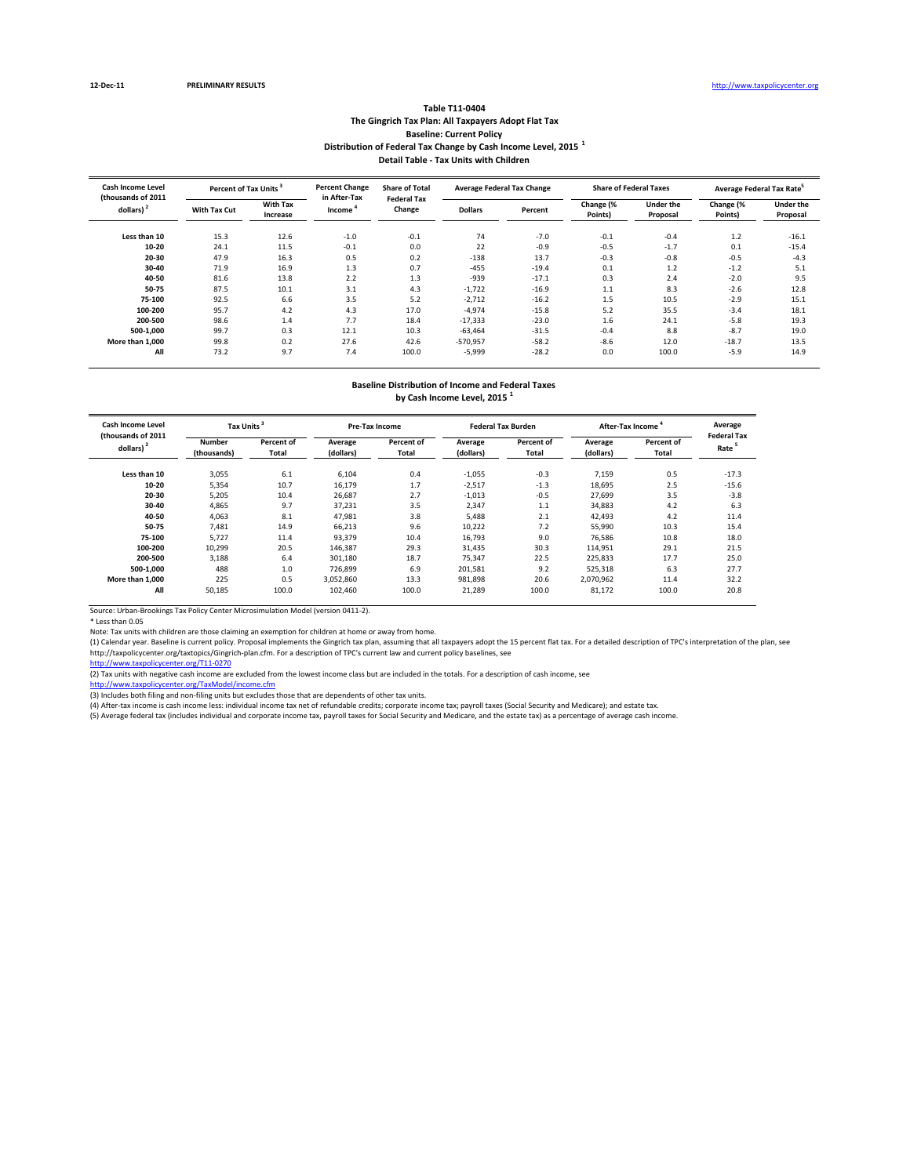#### **Table T11‐0404 The Gingrich Tax Plan: All Taxpayers Adopt Flat Tax Baseline: Current Policy Distribution of Federal Tax Change by Cash Income Level, 2015 <sup>1</sup> Detail Table ‐ Tax Units with Children**

| <b>Cash Income Level</b><br>(thousands of 2011 |              | <b>Percent Change</b><br>Percent of Tax Units <sup>3</sup> |                                     | <b>Share of Total</b><br><b>Federal Tax</b> |                | <b>Average Federal Tax Change</b> |                      | <b>Share of Federal Taxes</b> | Average Federal Tax Rate <sup>5</sup> |                              |  |
|------------------------------------------------|--------------|------------------------------------------------------------|-------------------------------------|---------------------------------------------|----------------|-----------------------------------|----------------------|-------------------------------|---------------------------------------|------------------------------|--|
| dollars) <sup>2</sup>                          | With Tax Cut | <b>With Tax</b><br>Increase                                | in After-Tax<br>Income <sup>*</sup> | Change                                      | <b>Dollars</b> | Percent                           | Change (%<br>Points) | <b>Under the</b><br>Proposal  | Change (%<br>Points)                  | <b>Under the</b><br>Proposal |  |
| Less than 10                                   | 15.3         | 12.6                                                       | $-1.0$                              | $-0.1$                                      | 74             | $-7.0$                            | $-0.1$               | $-0.4$                        | $1.2$                                 | $-16.1$                      |  |
| $10 - 20$                                      | 24.1         | 11.5                                                       | $-0.1$                              | 0.0                                         | 22             | $-0.9$                            | $-0.5$               | $-1.7$                        | 0.1                                   | $-15.4$                      |  |
| 20-30                                          | 47.9         | 16.3                                                       | 0.5                                 | 0.2                                         | $-138$         | 13.7                              | $-0.3$               | $-0.8$                        | $-0.5$                                | $-4.3$                       |  |
| 30-40                                          | 71.9         | 16.9                                                       | 1.3                                 | 0.7                                         | $-455$         | $-19.4$                           | 0.1                  | 1.2                           | $-1.2$                                | 5.1                          |  |
| 40-50                                          | 81.6         | 13.8                                                       | 2.2                                 | 1.3                                         | $-939$         | $-17.1$                           | 0.3                  | 2.4                           | $-2.0$                                | 9.5                          |  |
| 50-75                                          | 87.5         | 10.1                                                       | 3.1                                 | 4.3                                         | $-1,722$       | $-16.9$                           | 1.1                  | 8.3                           | $-2.6$                                | 12.8                         |  |
| 75-100                                         | 92.5         | 6.6                                                        | 3.5                                 | 5.2                                         | $-2,712$       | $-16.2$                           | 1.5                  | 10.5                          | $-2.9$                                | 15.1                         |  |
| 100-200                                        | 95.7         | 4.2                                                        | 4.3                                 | 17.0                                        | $-4,974$       | $-15.8$                           | 5.2                  | 35.5                          | $-3.4$                                | 18.1                         |  |
| 200-500                                        | 98.6         | 1.4                                                        | 7.7                                 | 18.4                                        | $-17,333$      | $-23.0$                           | 1.6                  | 24.1                          | $-5.8$                                | 19.3                         |  |
| 500-1,000                                      | 99.7         | 0.3                                                        | 12.1                                | 10.3                                        | $-63,464$      | $-31.5$                           | $-0.4$               | 8.8                           | $-8.7$                                | 19.0                         |  |
| More than 1.000                                | 99.8         | 0.2                                                        | 27.6                                | 42.6                                        | $-570,957$     | $-58.2$                           | $-8.6$               | 12.0                          | $-18.7$                               | 13.5                         |  |
| All                                            | 73.2         | 9.7                                                        | 7.4                                 | 100.0                                       | $-5,999$       | $-28.2$                           | 0.0                  | 100.0                         | $-5.9$                                | 14.9                         |  |

## **Baseline Distribution of Income and Federal Taxes**

**by Cash Income Level, 2015 <sup>1</sup>**

| Cash Income Level<br>(thousands of 2011 | Tax Units                    |                     |                      | <b>Pre-Tax Income</b> |                      | <b>Federal Tax Burden</b> | After-Tax Income     | Average<br><b>Federal Tax</b> |                   |
|-----------------------------------------|------------------------------|---------------------|----------------------|-----------------------|----------------------|---------------------------|----------------------|-------------------------------|-------------------|
| dollars)                                | <b>Number</b><br>(thousands) | Percent of<br>Total | Average<br>(dollars) | Percent of<br>Total   | Average<br>(dollars) | Percent of<br>Total       | Average<br>(dollars) | Percent of<br>Total           | Rate <sup>5</sup> |
| Less than 10                            | 3,055                        | 6.1                 | 6,104                | 0.4                   | $-1,055$             | $-0.3$                    | 7,159                | 0.5                           | $-17.3$           |
| $10 - 20$                               | 5,354                        | 10.7                | 16,179               | 1.7                   | $-2,517$             | $-1.3$                    | 18,695               | 2.5                           | $-15.6$           |
| 20-30                                   | 5,205                        | 10.4                | 26,687               | 2.7                   | $-1,013$             | $-0.5$                    | 27.699               | 3.5                           | $-3.8$            |
| 30-40                                   | 4,865                        | 9.7                 | 37,231               | 3.5                   | 2,347                | 1.1                       | 34,883               | 4.2                           | 6.3               |
| 40-50                                   | 4,063                        | 8.1                 | 47,981               | 3.8                   | 5,488                | 2.1                       | 42,493               | 4.2                           | 11.4              |
| 50-75                                   | 7,481                        | 14.9                | 66,213               | 9.6                   | 10,222               | 7.2                       | 55,990               | 10.3                          | 15.4              |
| 75-100                                  | 5,727                        | 11.4                | 93,379               | 10.4                  | 16,793               | 9.0                       | 76,586               | 10.8                          | 18.0              |
| 100-200                                 | 10,299                       | 20.5                | 146,387              | 29.3                  | 31,435               | 30.3                      | 114,951              | 29.1                          | 21.5              |
| 200-500                                 | 3,188                        | 6.4                 | 301,180              | 18.7                  | 75,347               | 22.5                      | 225,833              | 17.7                          | 25.0              |
| 500-1.000                               | 488                          | 1.0                 | 726,899              | 6.9                   | 201,581              | 9.2                       | 525,318              | 6.3                           | 27.7              |
| More than 1.000                         | 225                          | 0.5                 | 3,052,860            | 13.3                  | 981,898              | 20.6                      | 2,070,962            | 11.4                          | 32.2              |
| All                                     | 50,185                       | 100.0               | 102,460              | 100.0                 | 21,289               | 100.0                     | 81,172               | 100.0                         | 20.8              |

Source: Urban‐Brookings Tax Policy Center Microsimulation Model (version 0411‐2).

\* Less than 0.05<br>Note: Tax units with children are those claiming an exemption for children at home or away from home.<br>(1) Calendar year. Baseline is current policy. Proposal implements the Gingrich tax plan, assuming that http://taxpolicycenter.org/taxtopics/Gingrich‐plan.cfm. For a description of TPC's current law and current policy baselines, see

http://www.taxpolicycenter.org/T11‐0270

(2) Tax units with negative cash income are excluded from the lowest income class but are included in the totals. For a description of cash income, see

<u>http://www.taxpolicycenter.org/TaxModel/income.cfm</u><br>(3) Includes both filing and non-filing units but excludes those that are dependents of other tax units.<br>(4) After-tax income is cash income less: individual income tax